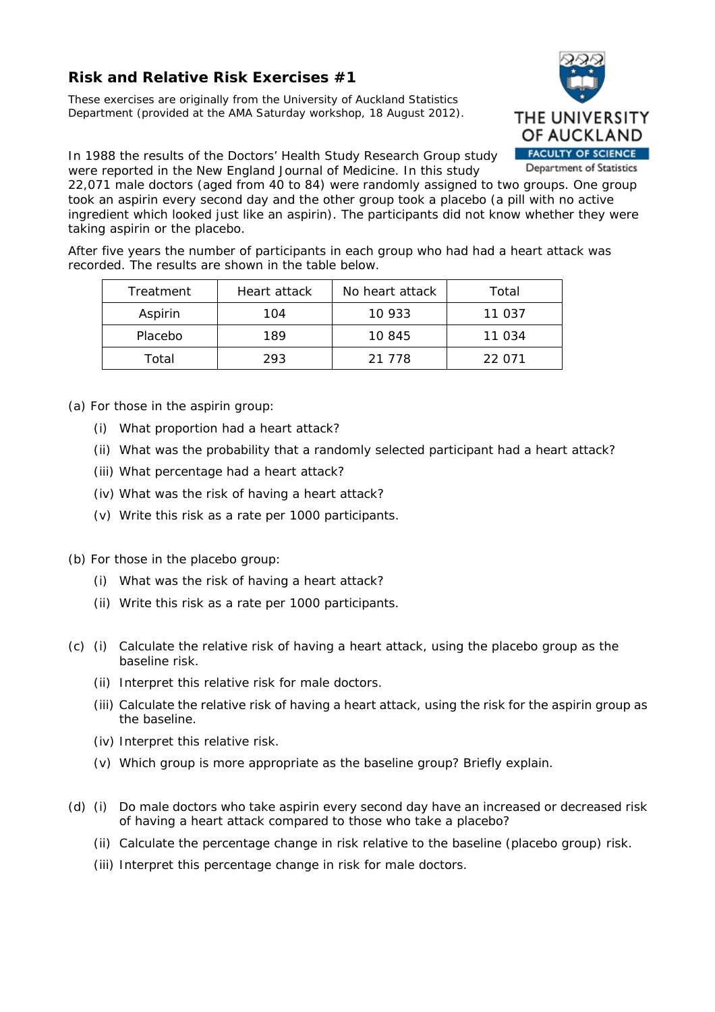## **Risk and Relative Risk Exercises #1**

*These exercises are originally from the University of Auckland Statistics Department (provided at the AMA Saturday workshop, 18 August 2012).* 



In 1988 the results of the Doctors' Health Study Research Group study were reported in the New England Journal of Medicine. In this study

22,071 male doctors (aged from 40 to 84) were randomly assigned to two groups. One group took an aspirin every second day and the other group took a placebo (a pill with no active ingredient which looked just like an aspirin). The participants did not know whether they were taking aspirin or the placebo.

After five years the number of participants in each group who had had a heart attack was recorded. The results are shown in the table below.

| Treatment | Heart attack | No heart attack | Total  |
|-----------|--------------|-----------------|--------|
| Aspirin   | 104          | 10 933          | 11 037 |
| Placebo   | 189          | 10 845          | 11 034 |
| Total     | 293          | 21 778          | 22 071 |

(a) For those in the aspirin group:

- (i) What proportion had a heart attack?
- (ii) What was the probability that a randomly selected participant had a heart attack?
- (iii) What percentage had a heart attack?
- (iv) What was the risk of having a heart attack?
- (v) Write this risk as a rate per 1000 participants.

(b) For those in the placebo group:

- (i) What was the risk of having a heart attack?
- (ii) Write this risk as a rate per 1000 participants.
- (c) (i) Calculate the relative risk of having a heart attack, using the placebo group as the baseline risk.
	- (ii) Interpret this relative risk for male doctors.
	- (iii) Calculate the relative risk of having a heart attack, using the risk for the aspirin group as the baseline.
	- (iv) Interpret this relative risk.
	- (v) Which group is more appropriate as the baseline group? Briefly explain.
- (d) (i) Do male doctors who take aspirin every second day have an increased or decreased risk of having a heart attack compared to those who take a placebo?
	- (ii) Calculate the percentage change in risk relative to the baseline (placebo group) risk.
	- (iii) Interpret this percentage change in risk for male doctors.